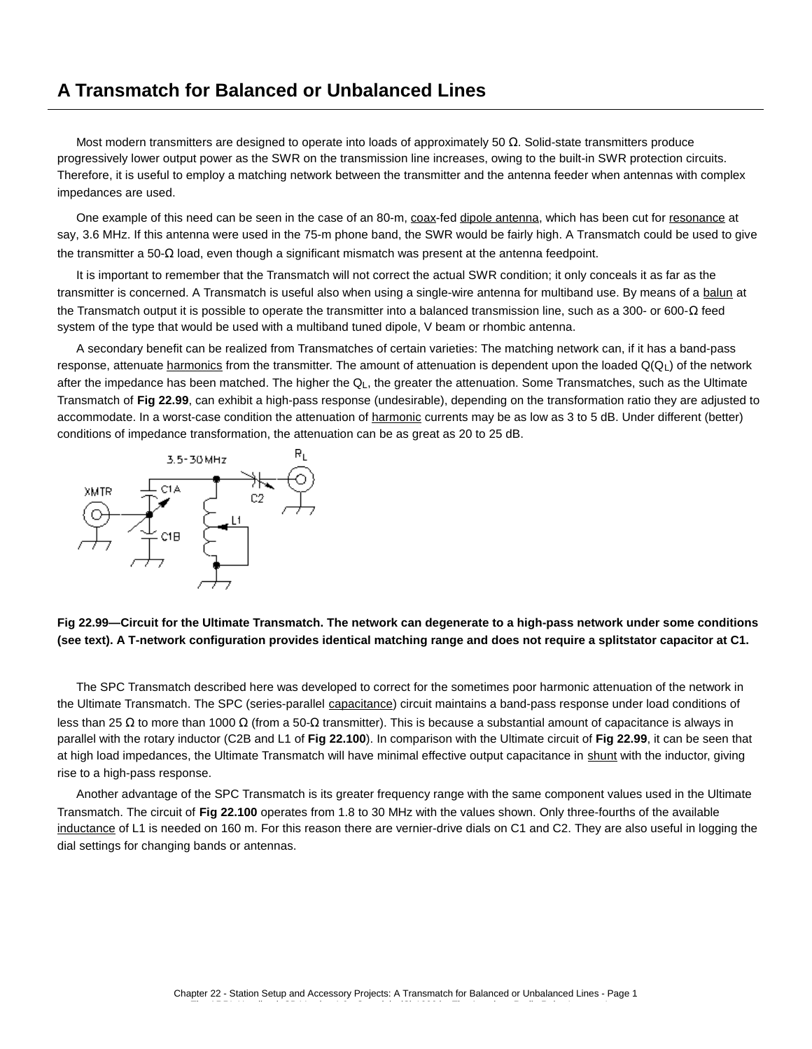# **A Transmatch for Balanced or Unbalanced Lines**

Most modern transmitters are designed to operate into loads of approximately 50  $Ω$ . Solid-state transmitters produce progressively lower output power as the SWR on the transmission line increases, owing to the built-in SWR protection circuits. Therefore, it is useful to employ a matching network between the transmitter and the antenna feeder when antennas with complex impedances are used.

One example of this need can be seen in the case of an 80-m, coax-fed dipole antenna, which has been cut for resonance at say, 3.6 MHz. If this antenna were used in the 75-m phone band, the SWR would be fairly high. A Transmatch could be used to give the transmitter a 50-Ω load, even though a significant mismatch was present at the antenna feedpoint.

It is important to remember that the Transmatch will not correct the actual SWR condition; it only conceals it as far as the transmitter is concerned. A Transmatch is useful also when using a single-wire antenna for multiband use. By means of a balun at the Transmatch output it is possible to operate the transmitter into a balanced transmission line, such as a 300- or 600-Ω feed system of the type that would be used with a multiband tuned dipole, V beam or rhombic antenna.

A secondary benefit can be realized from Transmatches of certain varieties: The matching network can, if it has a band-pass response, attenuate harmonics from the transmitter. The amount of attenuation is dependent upon the loaded  $Q(Q_L)$  of the network after the impedance has been matched. The higher the Q<sub>L</sub>, the greater the attenuation. Some Transmatches, such as the Ultimate Transmatch of **Fig 22.99**, can exhibit a high-pass response (undesirable), depending on the transformation ratio they are adjusted to accommodate. In a worst-case condition the attenuation of harmonic currents may be as low as 3 to 5 dB. Under different (better) conditions of impedance transformation, the attenuation can be as great as 20 to 25 dB.



## **Fig 22.99—Circuit for the Ultimate Transmatch. The network can degenerate to a high-pass network under some conditions (see text). A T-network configuration provides identical matching range and does not require a splitstator capacitor at C1.**

The SPC Transmatch described here was developed to correct for the sometimes poor harmonic attenuation of the network in the Ultimate Transmatch. The SPC (series-parallel capacitance) circuit maintains a band-pass response under load conditions of less than 25 Ω to more than 1000 Ω (from a 50-Ω transmitter). This is because a substantial amount of capacitance is always in parallel with the rotary inductor (C2B and L1 of **Fig 22.100**). In comparison with the Ultimate circuit of **Fig 22.99**, it can be seen that at high load impedances, the Ultimate Transmatch will have minimal effective output capacitance in shunt with the inductor, giving rise to a high-pass response.

Another advantage of the SPC Transmatch is its greater frequency range with the same component values used in the Ultimate Transmatch. The circuit of **Fig 22.100** operates from 1.8 to 30 MHz with the values shown. Only three-fourths of the available inductance of L1 is needed on 160 m. For this reason there are vernier-drive dials on C1 and C2. They are also useful in logging the dial settings for changing bands or antennas.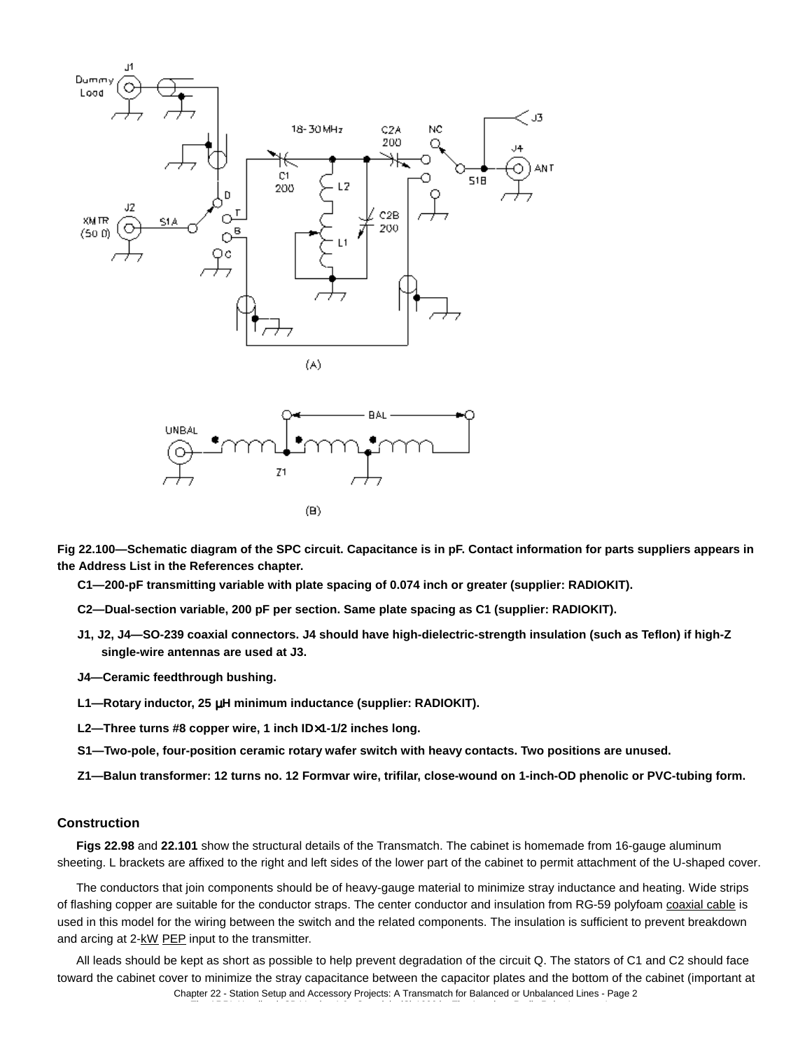



**Fig 22.100—Schematic diagram of the SPC circuit. Capacitance is in pF. Contact information for parts suppliers appears in the Address List in the References chapter.**

**C1—200-pF transmitting variable with plate spacing of 0.074 inch or greater (supplier: RADIOKIT).**

- **C2—Dual-section variable, 200 pF per section. Same plate spacing as C1 (supplier: RADIOKIT).**
- **J1, J2, J4—SO-239 coaxial connectors. J4 should have high-dielectric-strength insulation (such as Teflon) if high-Z single-wire antennas are used at J3.**
- **J4—Ceramic feedthrough bushing.**
- **L1—Rotary inductor, 25** µ**H minimum inductance (supplier: RADIOKIT).**
- **L2—Three turns #8 copper wire, 1 inch ID**×**1-1/2 inches long.**
- **S1—Two-pole, four-position ceramic rotary wafer switch with heavy contacts. Two positions are unused.**
- **Z1—Balun transformer: 12 turns no. 12 Formvar wire, trifilar, close-wound on 1-inch-OD phenolic or PVC-tubing form.**

#### **Construction**

**Figs 22.98** and **22.101** show the structural details of the Transmatch. The cabinet is homemade from 16-gauge aluminum sheeting. L brackets are affixed to the right and left sides of the lower part of the cabinet to permit attachment of the U-shaped cover.

The conductors that join components should be of heavy-gauge material to minimize stray inductance and heating. Wide strips of flashing copper are suitable for the conductor straps. The center conductor and insulation from RG-59 polyfoam coaxial cable is used in this model for the wiring between the switch and the related components. The insulation is sufficient to prevent breakdown and arcing at 2-kW PEP input to the transmitter.

All leads should be kept as short as possible to help prevent degradation of the circuit Q. The stators of C1 and C2 should face toward the cabinet cover to minimize the stray capacitance between the capacitor plates and the bottom of the cabinet (important at Chapter 22 - Station Setup and Accessory Projects: A Transmatch for Balanced or Unbalanced Lines - Page 2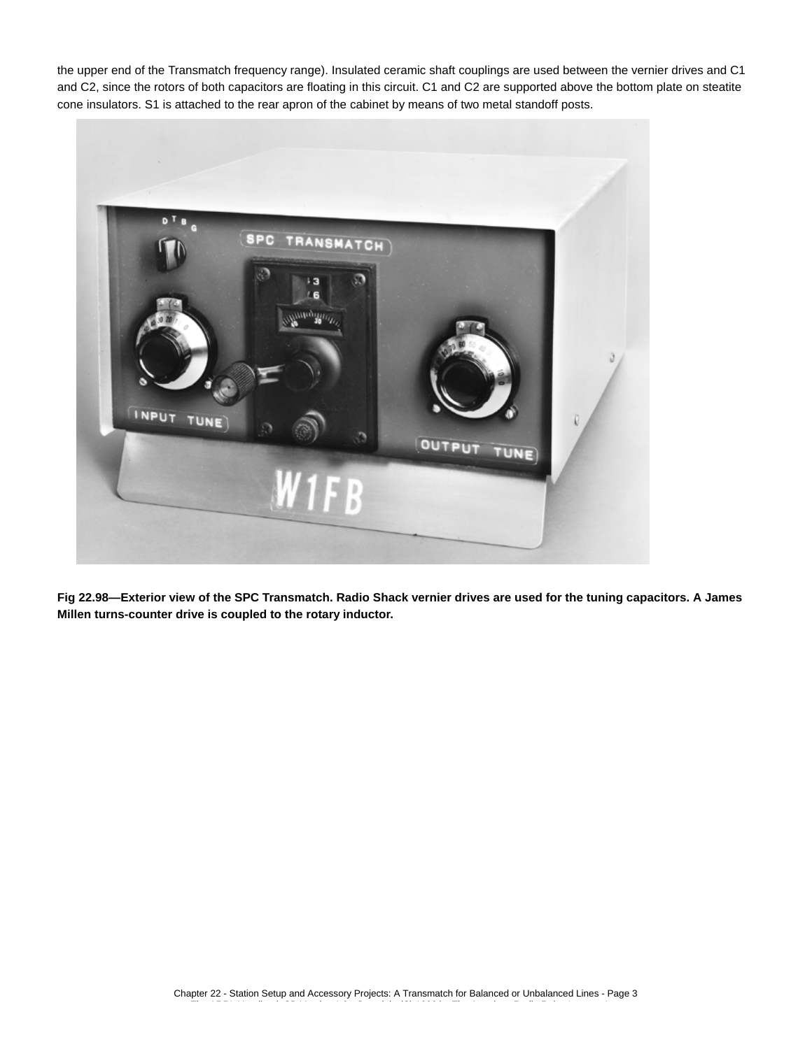the upper end of the Transmatch frequency range). Insulated ceramic shaft couplings are used between the vernier drives and C1 and C2, since the rotors of both capacitors are floating in this circuit. C1 and C2 are supported above the bottom plate on steatite cone insulators. S1 is attached to the rear apron of the cabinet by means of two metal standoff posts.



**Fig 22.98—Exterior view of the SPC Transmatch. Radio Shack vernier drives are used for the tuning capacitors. A James Millen turns-counter drive is coupled to the rotary inductor.**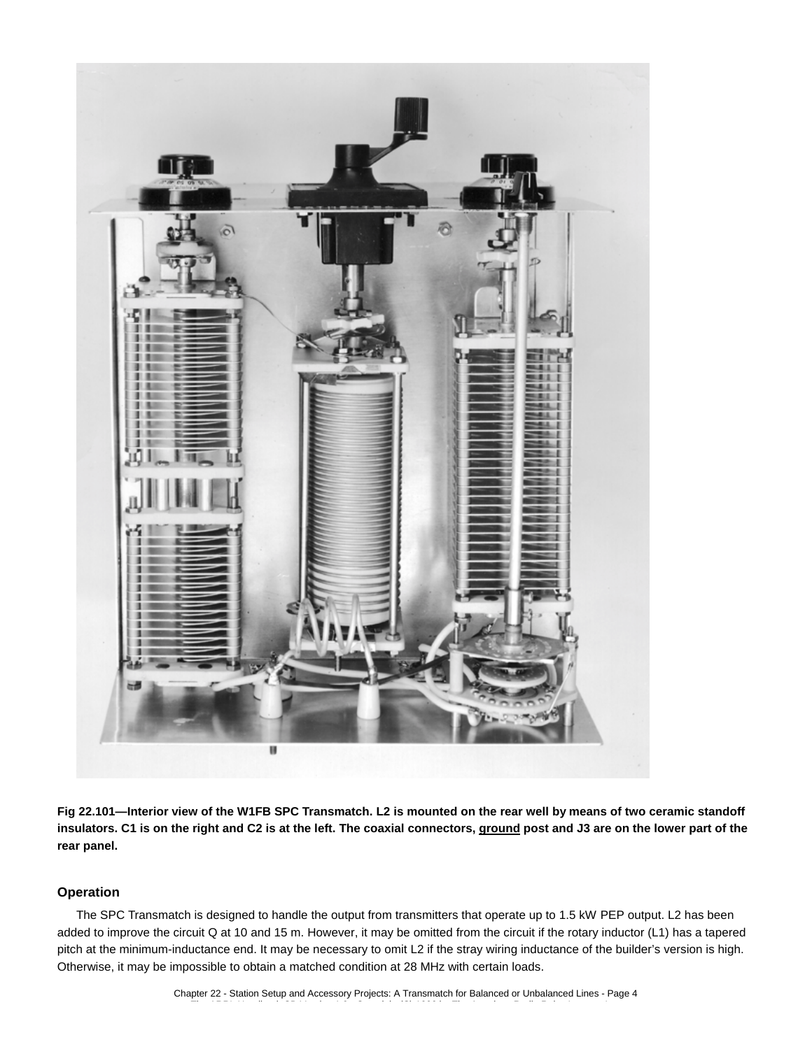

**Fig 22.101—Interior view of the W1FB SPC Transmatch. L2 is mounted on the rear well by means of two ceramic standoff insulators. C1 is on the right and C2 is at the left. The coaxial connectors, ground post and J3 are on the lower part of the rear panel.**

### **Operation**

The SPC Transmatch is designed to handle the output from transmitters that operate up to 1.5 kW PEP output. L2 has been added to improve the circuit Q at 10 and 15 m. However, it may be omitted from the circuit if the rotary inductor (L1) has a tapered pitch at the minimum-inductance end. It may be necessary to omit L2 if the stray wiring inductance of the builder's version is high. Otherwise, it may be impossible to obtain a matched condition at 28 MHz with certain loads.